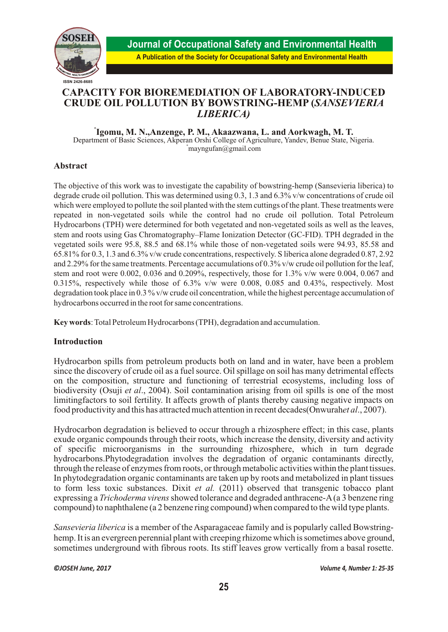

# **CAPACITY FOR BIOREMEDIATION OF LABORATORY-INDUCED CRUDE OIL POLLUTION BY BOWSTRING-HEMP (***SANSEVIERIA LIBERICA)*

**\* Igomu, M. N.,Anzenge, P. M., Akaazwana, L. and Aorkwagh, M. T.**

Department of Basic Sciences, Akperan Orshi College of Agriculture, Yandev, Benue State, Nigeria.  $^{*}$ mayngufan $@g$ mail.com

## **Abstract**

The objective of this work was to investigate the capability of bowstring-hemp (Sansevieria liberica) to degrade crude oil pollution. This was determined using 0.3, 1.3 and 6.3% v/w concentrations of crude oil which were employed to pollute the soil planted with the stem cuttings of the plant. These treatments were repeated in non-vegetated soils while the control had no crude oil pollution. Total Petroleum Hydrocarbons (TPH) were determined for both vegetated and non-vegetated soils as well as the leaves, stem and roots using Gas Chromatography–Flame Ionization Detector (GC-FID). TPH degraded in the vegetated soils were 95.8, 88.5 and 68.1% while those of non-vegetated soils were 94.93, 85.58 and 65.81% for 0.3, 1.3 and 6.3% v/w crude concentrations, respectively. S liberica alone degraded 0.87, 2.92 and 2.29% for the same treatments. Percentage accumulations of 0.3% v/w crude oil pollution for the leaf, stem and root were 0.002, 0.036 and 0.209%, respectively, those for 1.3% v/w were 0.004, 0.067 and 0.315%, respectively while those of 6.3% v/w were 0.008, 0.085 and 0.43%, respectively. Most degradation took place in 0.3 % v/w crude oil concentration, while the highest percentage accumulation of hydrocarbons occurred in the root for same concentrations.

**Key words**: Total Petroleum Hydrocarbons (TPH), degradation and accumulation.

# **Introduction**

Hydrocarbon spills from petroleum products both on land and in water, have been a problem since the discovery of crude oil as a fuel source. Oil spillage on soil has many detrimental effects on the composition, structure and functioning of terrestrial ecosystems, including loss of biodiversity (Osuji *et al*., 2004). Soil contamination arising from oil spills is one of the most limitingfactors to soil fertility. It affects growth of plants thereby causing negative impacts on food productivity and this has attracted much attention in recent decades(Onwurah*et al*., 2007).

Hydrocarbon degradation is believed to occur through a rhizosphere effect; in this case, plants exude organic compounds through their roots, which increase the density, diversity and activity of specific microorganisms in the surrounding rhizosphere, which in turn degrade hydrocarbons.Phytodegradation involves the degradation of organic contaminants directly, through the release of enzymes from roots, or through metabolic activities within the plant tissues. In phytodegradation organic contaminants are taken up by roots and metabolized in plant tissues to form less toxic substances. Dixit *et al.* (2011) observed that transgenic tobacco plant expressing a *Trichoderma virens* showed tolerance and degraded anthracene-A (a 3 benzene ring compound) to naphthalene (a 2 benzene ring compound) when compared to the wild type plants.

*Sansevieria liberica* is a member of the Asparagaceae family and is popularly called Bowstringhemp. It is an evergreen perennial plant with creeping rhizome which is sometimes above ground, sometimes underground with fibrous roots. Its stiff leaves grow vertically from a basal rosette.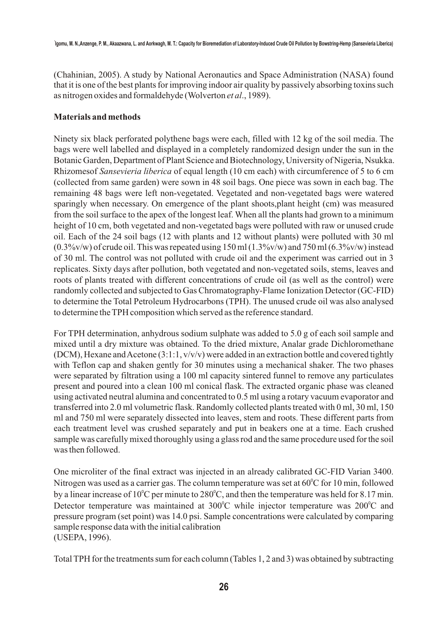(Chahinian, 2005). A study by National Aeronautics and Space Administration (NASA) found that it is one of the best plants for improving indoor air quality by passively absorbing toxins such as nitrogen oxides and formaldehyde (Wolverton *et al*., 1989).

### **Materials and methods**

Ninety six black perforated polythene bags were each, filled with 12 kg of the soil media. The bags were well labelled and displayed in a completely randomized design under the sun in the Botanic Garden, Department of Plant Science and Biotechnology, University of Nigeria, Nsukka. Rhizomesof *Sansevieria liberica* of equal length (10 cm each) with circumference of 5 to 6 cm (collected from same garden) were sown in 48 soil bags. One piece was sown in each bag. The remaining 48 bags were left non-vegetated. Vegetated and non-vegetated bags were watered sparingly when necessary. On emergence of the plant shoots,plant height (cm) was measured from the soil surface to the apex of the longest leaf. When all the plants had grown to a minimum height of 10 cm, both vegetated and non-vegetated bags were polluted with raw or unused crude oil. Each of the 24 soil bags (12 with plants and 12 without plants) were polluted with 30 ml  $(0.3\%v/w)$  of crude oil. This was repeated using 150 ml  $(1.3\%v/w)$  and 750 ml  $(6.3\%v/w)$  instead of 30 ml. The control was not polluted with crude oil and the experiment was carried out in 3 replicates. Sixty days after pollution, both vegetated and non-vegetated soils, stems, leaves and roots of plants treated with different concentrations of crude oil (as well as the control) were randomly collected and subjected to Gas Chromatography-Flame Ionization Detector (GC-FID) to determine the Total Petroleum Hydrocarbons (TPH). The unused crude oil was also analysed to determine the TPH composition which served as the reference standard.

For TPH determination, anhydrous sodium sulphate was added to 5.0 g of each soil sample and mixed until a dry mixture was obtained. To the dried mixture, Analar grade Dichloromethane (DCM), Hexane and Acetone (3:1:1, v/v/v) were added in an extraction bottle and covered tightly with Teflon cap and shaken gently for 30 minutes using a mechanical shaker. The two phases were separated by filtration using a 100 ml capacity sintered funnel to remove any particulates present and poured into a clean 100 ml conical flask. The extracted organic phase was cleaned using activated neutral alumina and concentrated to 0.5 ml using a rotary vacuum evaporator and transferred into 2.0 ml volumetric flask. Randomly collected plants treated with 0 ml, 30 ml, 150 ml and 750 ml were separately dissected into leaves, stem and roots. These different parts from each treatment level was crushed separately and put in beakers one at a time. Each crushed sample was carefully mixed thoroughly using a glass rod and the same procedure used for the soil was then followed.

One microliter of the final extract was injected in an already calibrated GC-FID Varian 3400. Nitrogen was used as a carrier gas. The column temperature was set at  $60^{\circ}$ C for 10 min, followed by a linear increase of  $10^{\circ}$ C per minute to  $280^{\circ}$ C, and then the temperature was held for 8.17 min. Detector temperature was maintained at  $300^{\circ}$ C while injector temperature was  $200^{\circ}$ C and pressure program (set point) was 14.0 psi. Sample concentrations were calculated by comparing sample response data with the initial calibration (USEPA, 1996).

Total TPH for the treatments sum for each column (Tables 1, 2 and 3) was obtained by subtracting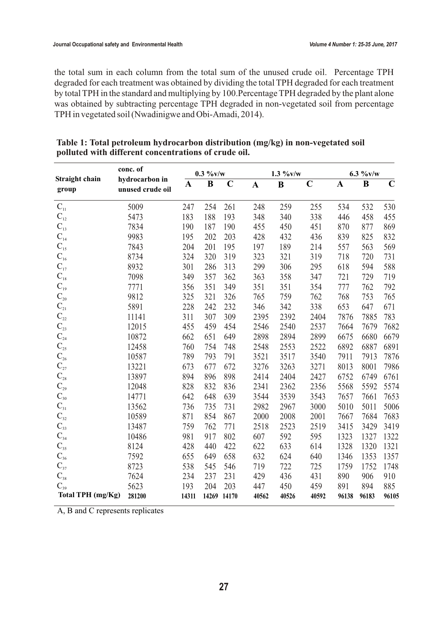the total sum in each column from the total sum of the unused crude oil. Percentage TPH degraded for each treatment was obtained by dividing the total TPH degraded for each treatment by total TPH in the standard and multiplying by 100.Percentage TPH degraded by the plant alone was obtained by subtracting percentage TPH degraded in non-vegetated soil from percentage TPH in vegetated soil (Nwadinigwe and Obi-Amadi, 2014).

|                                       | conc. of                           | $0.3 \frac{9}{6}$ v/w |                         |             |              | $1.3 \frac{9}{6}$ v/w |             |              | $6.3 \frac{9}{6}$ v/w |             |  |
|---------------------------------------|------------------------------------|-----------------------|-------------------------|-------------|--------------|-----------------------|-------------|--------------|-----------------------|-------------|--|
| Straight chain<br>group               | hydrocarbon in<br>unused crude oil | $\mathbf{A}$          | $\overline{\mathbf{B}}$ | $\mathbf C$ | $\mathbf{A}$ | $\bf{B}$              | $\mathbf C$ | $\mathbf{A}$ | $\bf{B}$              | $\mathbf C$ |  |
| $\mathbf{C}_{\scriptscriptstyle{11}}$ | 5009                               | 247                   | 254                     | 261         | 248          | 259                   | 255         | 534          | 532                   | 530         |  |
| $\mathbf{C}_{\scriptscriptstyle{12}}$ | 5473                               | 183                   | 188                     | 193         | 348          | 340                   | 338         | 446          | 458                   | 455         |  |
| $C_{13}$                              | 7834                               | 190                   | 187                     | 190         | 455          | 450                   | 451         | 870          | 877                   | 869         |  |
| $C_{14}$                              | 9983                               | 195                   | 202                     | 203         | 428          | 432                   | 436         | 839          | 825                   | 832         |  |
| $\mathbf{C}_{\scriptscriptstyle{15}}$ | 7843                               | 204                   | 201                     | 195         | 197          | 189                   | 214         | 557          | 563                   | 569         |  |
| $\mathbf{C}_{\scriptscriptstyle{16}}$ | 8734                               | 324                   | 320                     | 319         | 323          | 321                   | 319         | 718          | 720                   | 731         |  |
| $C_{17}$                              | 8932                               | 301                   | 286                     | 313         | 299          | 306                   | 295         | 618          | 594                   | 588         |  |
| $\mathbf{C}_{\scriptscriptstyle{18}}$ | 7098                               | 349                   | 357                     | 362         | 363          | 358                   | 347         | 721          | 729                   | 719         |  |
| $C_{19}$                              | 7771                               | 356                   | 351                     | 349         | 351          | 351                   | 354         | 777          | 762                   | 792         |  |
| $\mathbf{C}_{\scriptscriptstyle{20}}$ | 9812                               | 325                   | 321                     | 326         | 765          | 759                   | 762         | 768          | 753                   | 765         |  |
| $C_{\scriptscriptstyle 21}$           | 5891                               | 228                   | 242                     | 232         | 346          | 342                   | 338         | 653          | 647                   | 671         |  |
| $\mathbf{C}_{\scriptscriptstyle{22}}$ | 11141                              | 311                   | 307                     | 309         | 2395         | 2392                  | 2404        | 7876         | 7885                  | 783         |  |
| $\mathbf{C}_{\scriptscriptstyle{23}}$ | 12015                              | 455                   | 459                     | 454         | 2546         | 2540                  | 2537        | 7664         | 7679                  | 7682        |  |
| $C_{24}$                              | 10872                              | 662                   | 651                     | 649         | 2898         | 2894                  | 2899        | 6675         | 6680                  | 6679        |  |
| $\mathbf{C}_{\scriptscriptstyle{25}}$ | 12458                              | 760                   | 754                     | 748         | 2548         | 2553                  | 2522        | 6892         | 6887                  | 6891        |  |
| $\mathbf{C}_{\scriptscriptstyle 26}$  | 10587                              | 789                   | 793                     | 791         | 3521         | 3517                  | 3540        | 7911         | 7913                  | 7876        |  |
| $\mathbf{C}_{\scriptscriptstyle 27}$  | 13221                              | 673                   | 677                     | 672         | 3276         | 3263                  | 3271        | 8013         | 8001                  | 7986        |  |
| $\mathbf{C}_{\scriptscriptstyle{28}}$ | 13897                              | 894                   | 896                     | 898         | 2414         | 2404                  | 2427        | 6752         | 6749                  | 6761        |  |
| $\mathbf{C}_{\scriptscriptstyle{29}}$ | 12048                              | 828                   | 832                     | 836         | 2341         | 2362                  | 2356        | 5568         | 5592                  | 5574        |  |
| $\mathbf{C}_{\scriptscriptstyle{30}}$ | 14771                              | 642                   | 648                     | 639         | 3544         | 3539                  | 3543        | 7657         | 7661                  | 7653        |  |
| $\mathbf{C}_{\scriptscriptstyle{31}}$ | 13562                              | 736                   | 735                     | 731         | 2982         | 2967                  | 3000        | 5010         | 5011                  | 5006        |  |
| $\mathbf{C}_{\scriptscriptstyle{32}}$ | 10589                              | 871                   | 854                     | 867         | 2000         | 2008                  | 2001        | 7667         | 7684                  | 7683        |  |
| $\mathbb{C}_{33}$                     | 13487                              | 759                   | 762                     | 771         | 2518         | 2523                  | 2519        | 3415         | 3429                  | 3419        |  |
| $C_{34}$                              | 10486                              | 981                   | 917                     | 802         | 607          | 592                   | 595         | 1323         | 1327                  | 1322        |  |
| $\mathbf{C}_{\scriptscriptstyle{35}}$ | 8124                               | 428                   | 440                     | 422         | 622          | 633                   | 614         | 1328         | 1320                  | 1321        |  |
| $\mathbf{C}_{\scriptscriptstyle{36}}$ | 7592                               | 655                   | 649                     | 658         | 632          | 624                   | 640         | 1346         | 1353                  | 1357        |  |
| $\mathbf{C}_{37}$                     | 8723                               | 538                   | 545                     | 546         | 719          | 722                   | 725         | 1759         | 1752                  | 1748        |  |
| $\mathbf{C}_{\scriptscriptstyle{38}}$ | 7624                               | 234                   | 237                     | 231         | 429          | 436                   | 431         | 890          | 906                   | 910         |  |
| $C_{39}$                              | 5623                               | 193                   | 204                     | 203         | 447          | 450                   | 459         | 891          | 894                   | 885         |  |
| Total TPH (mg/Kg)                     | 281200                             | 14311                 |                         | 14269 14170 | 40562        | 40526                 | 40592       | 96138        | 96183                 | 96105       |  |

| Table 1: Total petroleum hydrocarbon distribution (mg/kg) in non-vegetated soil |  |  |
|---------------------------------------------------------------------------------|--|--|
| polluted with different concentrations of crude oil.                            |  |  |

A, B and C represents replicates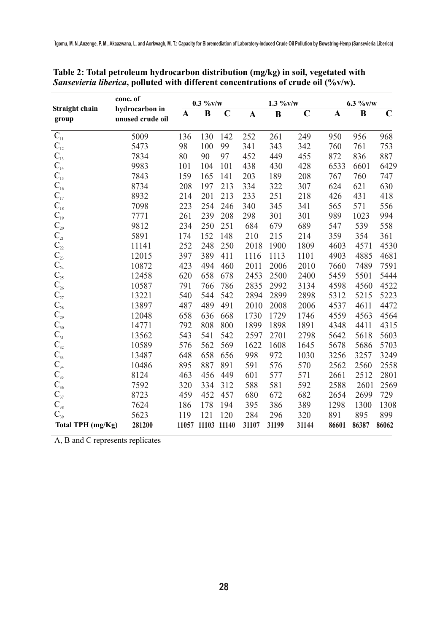|                                       | conc. of                           | $0.3 \frac{9}{6}$ v/w |             |             |              | $1.3 \frac{9}{6}$ v/w |             |              | $6.3 \frac{9}{6}$ v/w |             |  |
|---------------------------------------|------------------------------------|-----------------------|-------------|-------------|--------------|-----------------------|-------------|--------------|-----------------------|-------------|--|
| <b>Straight chain</b><br>group        | hydrocarbon in<br>unused crude oil | $\mathbf A$           | $\bf{B}$    | $\mathbf C$ | $\mathbf{A}$ | $\bf{B}$              | $\mathbf C$ | $\mathbf{A}$ | $\bf{B}$              | $\mathbf C$ |  |
| $C_{11}$                              | 5009                               | 136                   | 130         | 142         | 252          | 261                   | 249         | 950          | 956                   | 968         |  |
| $\mathbf{C}_{\scriptscriptstyle{12}}$ | 5473                               | 98                    | 100         | 99          | 341          | 343                   | 342         | 760          | 761                   | 753         |  |
| $C_{13}$                              | 7834                               | 80                    | 90          | 97          | 452          | 449                   | 455         | 872          | 836                   | 887         |  |
| $C_{14}$                              | 9983                               | 101                   | 104         | 101         | 438          | 430                   | 428         | 6533         | 6601                  | 6429        |  |
| $C_{15}$                              | 7843                               | 159                   | 165         | 141         | 203          | 189                   | 208         | 767          | 760                   | 747         |  |
| $\mathbf{C}_{\scriptscriptstyle{16}}$ | 8734                               | 208                   | 197         | 213         | 334          | 322                   | 307         | 624          | 621                   | 630         |  |
| $C_{17}$                              | 8932                               | 214                   | 201         | 213         | 233          | 251                   | 218         | 426          | 431                   | 418         |  |
| $\mathbf{C}_{\scriptscriptstyle{18}}$ | 7098                               | 223                   | 254         | 246         | 340          | 345                   | 341         | 565          | 571                   | 556         |  |
| $C_{19}$                              | 7771                               | 261                   | 239         | 208         | 298          | 301                   | 301         | 989          | 1023                  | 994         |  |
| $\mathbb{C}_{\scriptscriptstyle{20}}$ | 9812                               | 234                   | 250         | 251         | 684          | 679                   | 689         | 547          | 539                   | 558         |  |
| $\mathbf{C}_{\scriptscriptstyle 21}$  | 5891                               | 174                   | 152         | 148         | 210          | 215                   | 214         | 359          | 354                   | 361         |  |
| $\mathbf{C}_{\scriptscriptstyle{22}}$ | 11141                              | 252                   | 248         | 250         | 2018         | 1900                  | 1809        | 4603         | 4571                  | 4530        |  |
| $\mathbb{C}_{\scriptscriptstyle 23}$  | 12015                              | 397                   | 389         | 411         | 1116         | 1113                  | 1101        | 4903         | 4885                  | 4681        |  |
| $\mathbf{C}_{\scriptscriptstyle{24}}$ | 10872                              | 423                   | 494         | 460         | 2011         | 2006                  | 2010        | 7660         | 7489                  | 7591        |  |
| $C_{25}$                              | 12458                              | 620                   | 658         | 678         | 2453         | 2500                  | 2400        | 5459         | 5501                  | 5444        |  |
| $\mathbb{C}_{\scriptscriptstyle 26}$  | 10587                              | 791                   | 766         | 786         | 2835         | 2992                  | 3134        | 4598         | 4560                  | 4522        |  |
| $C_{27}$                              | 13221                              | 540                   | 544         | 542         | 2894         | 2899                  | 2898        | 5312         | 5215                  | 5223        |  |
| $\mathbf{C}_{\scriptscriptstyle{28}}$ | 13897                              | 487                   | 489         | 491         | 2010         | 2008                  | 2006        | 4537         | 4611                  | 4472        |  |
| $\mathbf{C}_{\scriptscriptstyle{29}}$ | 12048                              | 658                   | 636         | 668         | 1730         | 1729                  | 1746        | 4559         | 4563                  | 4564        |  |
| $\mathbf{C}_{\scriptscriptstyle{30}}$ | 14771                              | 792                   | 808         | 800         | 1899         | 1898                  | 1891        | 4348         | 4411                  | 4315        |  |
| $\mathbf{C}_{\scriptscriptstyle{31}}$ | 13562                              | 543                   | 541         | 542         | 2597         | 2701                  | 2798        | 5642         | 5618                  | 5603        |  |
| $\mathbb{C}_{32}$                     | 10589                              | 576                   | 562         | 569         | 1622         | 1608                  | 1645        | 5678         | 5686                  | 5703        |  |
| $\mathbb{C}_{33}$                     | 13487                              | 648                   | 658         | 656         | 998          | 972                   | 1030        | 3256         | 3257                  | 3249        |  |
| $C_{34}$                              | 10486                              | 895                   | 887         | 891         | 591          | 576                   | 570         | 2562         | 2560                  | 2558        |  |
| $C_{35}$                              | 8124                               | 463                   | 456         | 449         | 601          | 577                   | 571         | 2661         | 2512                  | 2801        |  |
| $\mathbf{C}_{\scriptscriptstyle{36}}$ | 7592                               | 320                   | 334         | 312         | 588          | 581                   | 592         | 2588         | 2601                  | 2569        |  |
| $C_{37}$                              | 8723                               | 459                   | 452         | 457         | 680          | 672                   | 682         | 2654         | 2699                  | 729         |  |
| $C_{38}$                              | 7624                               | 186                   | 178         | 194         | 395          | 386                   | 389         | 1298         | 1300                  | 1308        |  |
| $C_{39}$                              | 5623                               | 119                   | 121         | 120         | 284          | 296                   | 320         | 891          | 895                   | 899         |  |
| Total TPH (mg/Kg)                     | 281200                             | 11057                 | 11103 11140 |             | 31107        | 31199                 | 31144       | 86601        | 86387                 | 86062       |  |

**Table 2: Total petroleum hydrocarbon distribution (mg/kg) in soil, vegetated with**  *Sansevieria liberica***, polluted with different concentrations of crude oil (%v/w).** 

A, B and C represents replicates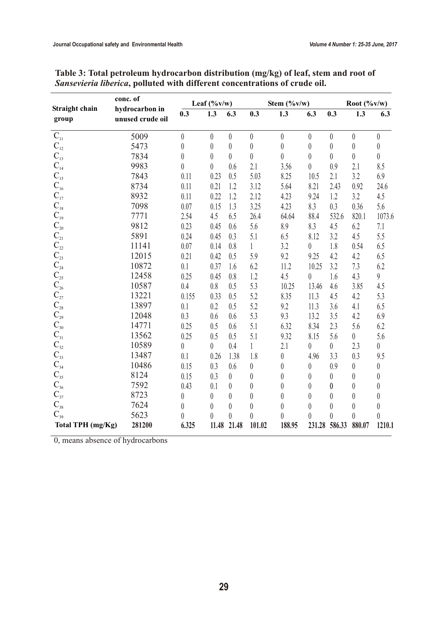|                                                                                | conc. of                           | Leaf $(\frac{9}{6}v/w)$ |                  |                  | Stem $(\frac{9}{6}v/w)$ |                  |                  | Root $(\frac{6}{\sqrt{v}})$ |                  |                  |
|--------------------------------------------------------------------------------|------------------------------------|-------------------------|------------------|------------------|-------------------------|------------------|------------------|-----------------------------|------------------|------------------|
| Straight chain<br>group                                                        | hydrocarbon in<br>unused crude oil | 0.3                     | 1.3              | 6.3              | 0.3                     | 1.3              | 6.3              | 0.3                         | 1.3              | 6.3              |
| $C_{11}$                                                                       | 5009                               | $\boldsymbol{0}$        | $\theta$         | $\theta$         | $\theta$                | $\theta$         | $\theta$         | $\theta$                    | $\theta$         | $\theta$         |
| $C_{12}$                                                                       | 5473                               | $\boldsymbol{0}$        | $\boldsymbol{0}$ | $\boldsymbol{0}$ | $\theta$                | $\boldsymbol{0}$ | $\boldsymbol{0}$ | $\theta$                    | $\boldsymbol{0}$ | $\theta$         |
| $\mathbf{C}_{\scriptscriptstyle{13}}$                                          | 7834                               | $\boldsymbol{0}$        | $\theta$         | $\overline{0}$   | $\boldsymbol{0}$        | $\theta$         | $\theta$         | $\overline{0}$              | $\boldsymbol{0}$ | $\theta$         |
| $C_{14}$                                                                       | 9983                               | $\overline{0}$          | 0                | 0.6              | 2.1                     | 3.56             | $\theta$         | 0.9                         | 2.1              | 8.5              |
| $\mathbf{C}_{\scriptscriptstyle{15}}$                                          | 7843                               | 0.11                    | 0.23             | 0.5              | 5.03                    | 8.25             | 10.5             | 2.1                         | 3.2              | 6.9              |
| $\mathbf{C}_{\scriptscriptstyle{16}}$                                          | 8734                               | 0.11                    | 0.21             | 1.2              | 3.12                    | 5.64             | 8.21             | 2.43                        | 0.92             | 24.6             |
| $C_{17}$                                                                       | 8932                               | 0.11                    | 0.22             | 1.2              | 2.12                    | 4.23             | 9.24             | 1.2                         | 3.2              | 4.5              |
| $\overline{C}_{18}$ <sub>19</sub>                                              | 7098                               | 0.07                    | 0.15             | 1.3              | 3.25                    | 4.23             | 8.3              | 0.3                         | 0.36             | 5.6              |
|                                                                                | 7771                               | 2.54                    | 4.5              | 6.5              | 26.4                    | 64.64            | 88.4             | 532.6                       | 820.1            | 1073.6           |
| $C_{20}$                                                                       | 9812                               | 0.23                    | 0.45             | 0.6              | 5.6                     | 8.9              | 8.3              | 4.5                         | 6.2              | 7.1              |
| $\mathbf{C}_{\scriptscriptstyle{21}}$<br>$\mathbf{C}_{\scriptscriptstyle{22}}$ | 5891                               | 0.24                    | 0.45             | 0.3              | 5.1                     | 6.5              | 8.12             | 3.2                         | 4.5              | 5.5              |
|                                                                                | 11141                              | 0.07                    | 0.14             | 0.8              | $\mathbf{1}$            | 3.2              | $\boldsymbol{0}$ | 1.8                         | 0.54             | 6.5              |
| $C_{23}$                                                                       | 12015                              | 0.21                    | 0.42             | 0.5              | 5.9                     | 9.2              | 9.25             | 4.2                         | 4.2              | 6.5              |
| $C_{24}$ <sup>25</sup><br>$C_{25}$                                             | 10872                              | 0.1                     | 0.37             | 1.6              | 6.2                     | 11.2             | 10.25            | 3.2                         | 7.3              | 6.2              |
|                                                                                | 12458                              | 0.25                    | 0.45             | 0.8              | 1.2                     | 4.5              | $\theta$         | 1.6                         | 4.3              | 9                |
| $\mathbf{C}_{\scriptscriptstyle 26}$                                           | 10587                              | 0.4                     | 0.8              | 0.5              | 5.3                     | 10.25            | 13.46            | 4.6                         | 3.85             | 4.5              |
| $\frac{C_{27}}{C_{28}}$                                                        | 13221                              | 0.155                   | 0.33             | 0.5              | 5.2                     | 8.35             | 11.3             | 4.5                         | 4.2              | 5.3              |
|                                                                                | 13897                              | 0.1                     | 0.2              | 0.5              | 5.2                     | 9.2              | 11.3             | 3.6                         | 4.1              | 6.5              |
|                                                                                | 12048                              | 0.3                     | 0.6              | 0.6              | 5.3                     | 9.3              | 13.2             | 3.5                         | 4.2              | 6.9              |
|                                                                                | 14771                              | 0.25                    | 0.5              | 0.6              | 5.1                     | 6.32             | 8.34             | 2.3                         | 5.6              | 6.2              |
| $C_{29}$<br>$C_{30}$<br>$C_{31}$                                               | 13562                              | 0.25                    | 0.5              | 0.5              | 5.1                     | 9.32             | 8.15             | 5.6                         | $\theta$         | 5.6              |
| $C_{32}$                                                                       | 10589                              | $\boldsymbol{0}$        | $\overline{0}$   | 0.4              | 1                       | 2.1              | $\theta$         | $\overline{0}$              | 2.3              | $\boldsymbol{0}$ |
| $\overline{C}_{33}$<br>$C_{34}$                                                | 13487                              | 0.1                     | 0.26             | 1.38             | 1.8                     | $\boldsymbol{0}$ | 4.96             | 3.3                         | 0.3              | 9.5              |
|                                                                                | 10486                              | 0.15                    | 0.3              | 0.6              | $\boldsymbol{0}$        | $\boldsymbol{0}$ | $\boldsymbol{0}$ | 0.9                         | $\boldsymbol{0}$ | $\boldsymbol{0}$ |
| $C_{35}$<br>$C_{36}$                                                           | 8124                               | 0.15                    | 0.3              | $\theta$         | $\boldsymbol{0}$        | $\boldsymbol{0}$ | $\boldsymbol{0}$ | $\theta$                    | $\boldsymbol{0}$ | $\theta$         |
|                                                                                | 7592                               | 0.43                    | 0.1              | $\theta$         | $\theta$                | $\boldsymbol{0}$ | $\theta$         | $\boldsymbol{0}$            | $\theta$         | $\theta$         |
| $C_{37}$                                                                       | 8723                               | $\boldsymbol{0}$        | 0                | $\theta$         | $\theta$                | $\boldsymbol{0}$ | $\theta$         | $\theta$                    | $\theta$         | $\theta$         |
| $C_{38}$                                                                       | 7624                               | $\theta$                | $\theta$         | 0                | $\theta$                | $\theta$         | $\theta$         | $\theta$                    | $\boldsymbol{0}$ | $\theta$         |
| $C_{39}$                                                                       | 5623                               | $\overline{0}$          | 0                | 0                | $\theta$                | $\theta$         | $\overline{0}$   | $\theta$                    | $\theta$         | $\boldsymbol{0}$ |
| Total TPH (mg/Kg)                                                              | 281200                             | 6.325                   | 11.48            | 21.48            | 101.02                  | 188.95           | 231.28           | 586.33                      | 880.07           | 1210.1           |

| Table 3: Total petroleum hydrocarbon distribution (mg/kg) of leaf, stem and root of |
|-------------------------------------------------------------------------------------|
| Sansevieria liberica, polluted with different concentrations of crude oil.          |

0, means absence of hydrocarbons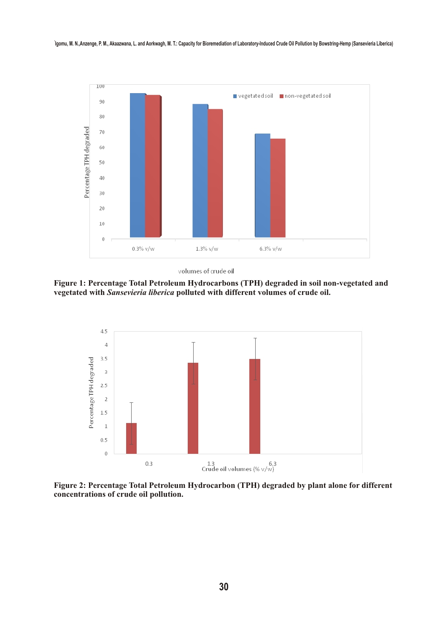

volumes of crude oil

**Figure 1: Percentage Total Petroleum Hydrocarbons (TPH) degraded in soil non-vegetated and vegetated with** *Sansevieria liberica* **polluted with different volumes of crude oil.** 



**Figure 2: Percentage Total Petroleum Hydrocarbon (TPH) degraded by plant alone for different concentrations of crude oil pollution.**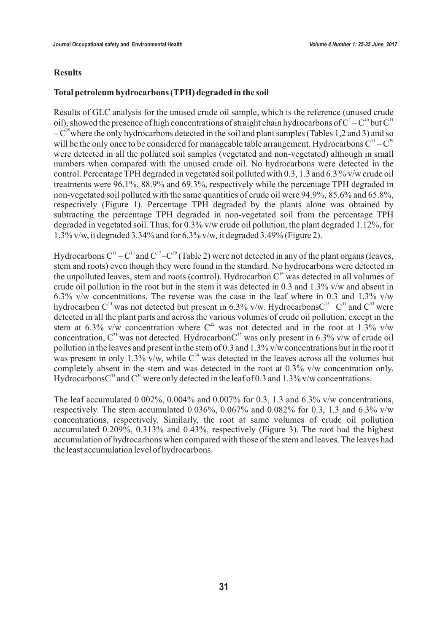#### **Results**

#### **Total petroleum hydrocarbons (TPH) degraded in the soil**

Results of GLC analysis for the unused crude oil sample, which is the reference (unused crude oil), showed the presence of high concentrations of straight chain hydrocarbons of  $C^1 - C^{40}$  but  $C^{11}$  $-C^{39}$  where the only hydrocarbons detected in the soil and plant samples (Tables 1,2 and 3) and so will be the only once to be considered for manageable table arrangement. Hydrocarbons  $C^{11} - C^{39}$ were detected in all the polluted soil samples (vegetated and non-vegetated) although in small numbers when compared with the unused crude oil. No hydrocarbons were detected in the control. Percentage TPH degraded in vegetated soil polluted with 0.3, 1.3 and 6.3 % v/w crude oil treatments were 96.1%, 88.9% and 69.3%, respectively while the percentage TPH degraded in non-vegetated soil polluted with the same quantities of crude oil were 94.9%, 85.6% and 65.8%, respectively (Figure 1). Percentage TPH degraded by the plants alone was obtained by subtracting the percentage TPH degraded in non-vegetated soil from the percentage TPH degraded in vegetated soil. Thus, for 0.3% v/w crude oil pollution, the plant degraded 1.12%, for 1.3% v/w, it degraded 3.34% and for 6.3% v/w, it degraded 3.49% (Figure 2).

Hydrocarbons  $C^{11} - C^{13}$  and  $C^{37} - C^{39}$  (Table 2) were not detected in any of the plant organs (leaves, stem and roots) even though they were found in the standard. No hydrocarbons were detected in the unpolluted leaves, stem and roots (control). Hydrocarbon  $C<sup>14</sup>$  was detected in all volumes of crude oil pollution in the root but in the stem it was detected in 0.3 and 1.3% v/w and absent in 6.3% v/w concentrations. The reverse was the case in the leaf where in 0.3 and 1.3% v/w hydrocarbon C<sup>14</sup> was not detected but present in 6.3% v/w. HydrocarbonsC<sup>15 –</sup> C<sup>31</sup> and C<sup>33</sup> were detected in all the plant parts and across the various volumes of crude oil pollution, except in the stem at 6.3% v/w concentration where  $C^{22}$  was not detected and in the root at 1.3% v/w concentration,  $C^{31}$  was not detected. Hydrocarbon $C^{32}$  was only present in 6.3% v/w of crude oil pollution in the leaves and present in the stem of 0.3 and 1.3% v/w concentrations but in the root it was present in only 1.3% v/w, while  $C^{34}$  was detected in the leaves across all the volumes but completely absent in the stem and was detected in the root at 0.3% v/w concentration only. HydrocarbonsC<sup>35</sup> and C<sup>36</sup> were only detected in the leaf of 0.3 and 1.3% v/w concentrations.

The leaf accumulated 0.002%, 0.004% and 0.007% for 0.3, 1.3 and 6.3% v/w concentrations, respectively. The stem accumulated 0.036%, 0.067% and 0.082% for 0.3, 1.3 and 6.3% v/w concentrations, respectively. Similarly, the root at same volumes of crude oil pollution accumulated 0.209%, 0.313% and 0.43%, respectively (Figure 3). The root had the highest accumulation of hydrocarbons when compared with those of the stem and leaves. The leaves had the least accumulation level of hydrocarbons.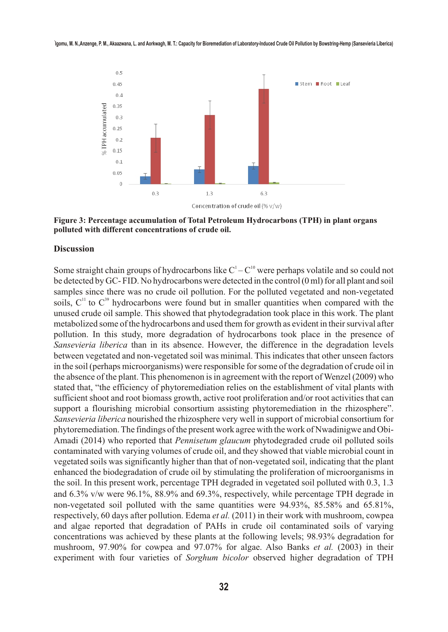

**Figure 3: Percentage accumulation of Total Petroleum Hydrocarbons (TPH) in plant organs polluted with different concentrations of crude oil.**

#### **Discussion**

Some straight chain groups of hydrocarbons like  $C<sup>1</sup>-C<sup>10</sup>$  were perhaps volatile and so could not be detected by GC- FID. No hydrocarbons were detected in the control (0 ml) for all plant and soil samples since there was no crude oil pollution. For the polluted vegetated and non-vegetated soils,  $C<sup>11</sup>$  to  $C<sup>39</sup>$  hydrocarbons were found but in smaller quantities when compared with the unused crude oil sample. This showed that phytodegradation took place in this work. The plant metabolized some of the hydrocarbons and used them for growth as evident in their survival after pollution. In this study, more degradation of hydrocarbons took place in the presence of *Sansevieria liberica* than in its absence. However, the difference in the degradation levels between vegetated and non-vegetated soil was minimal. This indicates that other unseen factors in the soil (perhaps microorganisms) were responsible for some of the degradation of crude oil in the absence of the plant. This phenomenon is in agreement with the report of Wenzel (2009) who stated that, "the efficiency of phytoremediation relies on the establishment of vital plants with sufficient shoot and root biomass growth, active root proliferation and/or root activities that can support a flourishing microbial consortium assisting phytoremediation in the rhizosphere". *Sansevieria liberica* nourished the rhizosphere very well in support of microbial consortium for phytoremediation. The findings of the present work agree with the work of Nwadinigwe and Obi-Amadi (2014) who reported that *Pennisetum glaucum* phytodegraded crude oil polluted soils contaminated with varying volumes of crude oil, and they showed that viable microbial count in vegetated soils was significantly higher than that of non-vegetated soil, indicating that the plant enhanced the biodegradation of crude oil by stimulating the proliferation of microorganisms in the soil. In this present work, percentage TPH degraded in vegetated soil polluted with 0.3, 1.3 and 6.3% v/w were 96.1%, 88.9% and 69.3%, respectively, while percentage TPH degrade in non-vegetated soil polluted with the same quantities were 94.93%, 85.58% and 65.81%, respectively, 60 days after pollution. Edema *et al.* (2011) in their work with mushroom, cowpea and algae reported that degradation of PAHs in crude oil contaminated soils of varying concentrations was achieved by these plants at the following levels; 98.93% degradation for mushroom, 97.90% for cowpea and 97.07% for algae. Also Banks *et al.* (2003) in their experiment with four varieties of *Sorghum bicolor* observed higher degradation of TPH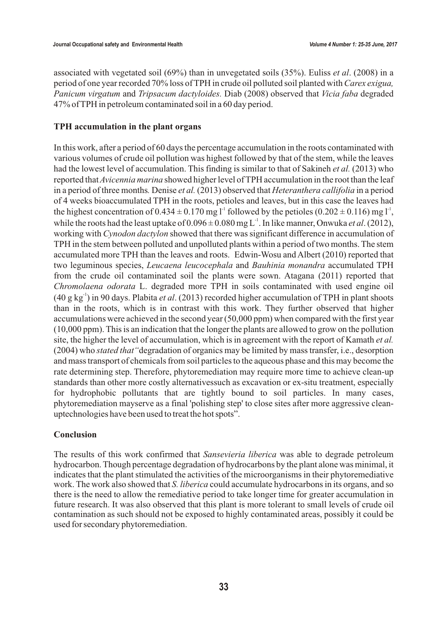associated with vegetated soil (69%) than in unvegetated soils (35%). Euliss *et al*. (2008) in a period of one year recorded 70% loss of TPH in crude oil polluted soil planted with *Carex exigua, Panicum virgatum* and *Tripsacum dactyloides.* Diab (2008) observed that *Vicia faba* degraded 47% of TPH in petroleum contaminated soil in a 60 day period.

#### **TPH accumulation in the plant organs**

In this work, after a period of 60 days the percentage accumulation in the roots contaminated with various volumes of crude oil pollution was highest followed by that of the stem, while the leaves had the lowest level of accumulation. This finding is similar to that of Sakineh *et al.* (2013) who reported that *Avicennia marina* showed higher level of TPH accumulation in the root than the leaf in a period of three months*.* Denise *et al.* (2013) observed that *Heteranthera callifolia* in a period of 4 weeks bioaccumulated TPH in the roots, petioles and leaves, but in this case the leaves had the highest concentration of  $0.434 \pm 0.170$  mg l<sup>-1</sup> followed by the petioles  $(0.202 \pm 0.116)$  mg l<sup>-1</sup>, while the roots had the least uptake of  $0.096 \pm 0.080$  mg L<sup>-1</sup>. In like manner, Onwuka *et al.* (2012), working with *Cynodon dactylon* showed that there was significant difference in accumulation of TPH in the stem between polluted and unpolluted plants within a period of two months. The stem accumulated more TPH than the leaves and roots. Edwin-Wosu and Albert (2010) reported that two leguminous species, *Leucaena leucocephala* and *Bauhinia monandra* accumulated TPH from the crude oil contaminated soil the plants were sown. Atagana (2011) reported that *Chromolaena odorata* L. degraded more TPH in soils contaminated with used engine oil  $(40 \text{ g kg}^3)$  in 90 days. Plabita *et al.* (2013) recorded higher accumulation of TPH in plant shoots than in the roots, which is in contrast with this work. They further observed that higher accumulations were achieved in the second year (50,000 ppm) when compared with the first year (10,000 ppm). This is an indication that the longer the plants are allowed to grow on the pollution site, the higher the level of accumulation, which is in agreement with the report of Kamath *et al.*  (2004) who *stated that"*degradation of organics may be limited by mass transfer, i.e., desorption and mass transport of chemicals from soil particles to the aqueous phase and this may become the rate determining step. Therefore, phytoremediation may require more time to achieve clean-up standards than other more costly alternativessuch as excavation or ex-situ treatment, especially for hydrophobic pollutants that are tightly bound to soil particles. In many cases, phytoremediation mayserve as a final 'polishing step' to close sites after more aggressive cleanuptechnologies have been used to treat the hot spots".

#### **Conclusion**

The results of this work confirmed that *Sansevieria liberica* was able to degrade petroleum hydrocarbon. Though percentage degradation of hydrocarbons by the plant alone was minimal, it indicates that the plant stimulated the activities of the microorganisms in their phytoremediative work. The work also showed that *S. liberica* could accumulate hydrocarbons in its organs, and so there is the need to allow the remediative period to take longer time for greater accumulation in future research. It was also observed that this plant is more tolerant to small levels of crude oil contamination as such should not be exposed to highly contaminated areas, possibly it could be used for secondary phytoremediation.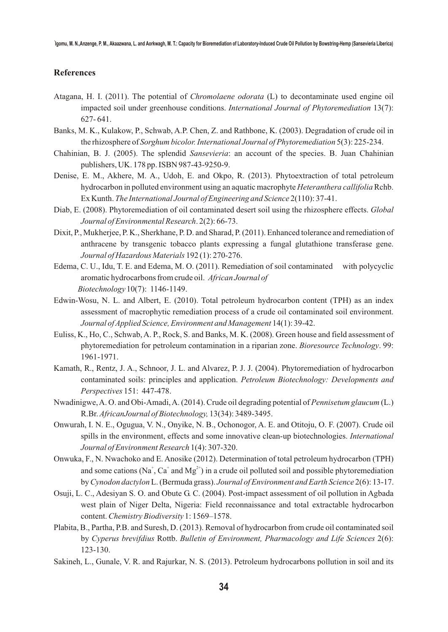#### **References**

- Atagana, H. I. (2011). The potential of *Chromolaene odorata* (L) to decontaminate used engine oil impacted soil under greenhouse conditions. *International Journal of Phytoremediation* 13(7): 627- 641.
- Banks, M. K., Kulakow, P., Schwab, A.P. Chen, Z. and Rathbone, K. (2003). Degradation of crude oil in the rhizosphere of *Sorghum bicolor. International Journal of Phytoremediation* 5(3): 225-234.
- Chahinian, B. J. (2005). The splendid *Sansevieria*: an account of the species. B. Juan Chahinian publishers, UK. 178 pp. ISBN 987-43-9250-9.
- Denise, E. M., Akhere, M. A., Udoh, E. and Okpo, R. (2013). Phytoextraction of total petroleum hydrocarbon in polluted environment using an aquatic macrophyte *Heteranthera callifolia*Rchb. Ex Kunth. *The International Journal of Engineering and Science* 2(110): 37-41.
- Diab, E. (2008). Phytoremediation of oil contaminated desert soil using the rhizosphere effects. *Global Journal of Environmental Research*. 2(2): 66-73.
- Dixit, P., Mukherjee, P. K., Sherkhane, P. D. and Sharad, P. (2011). Enhanced tolerance and remediation of anthracene by transgenic tobacco plants expressing a fungal glutathione transferase gene. *Journal of Hazardous Materials* 192 (1): 270-276.
- Edema, C. U., Idu, T. E. and Edema, M. O. (2011). Remediation of soil contaminated with polycyclic aromatic hydrocarbons from crude oil. *African Journal of Biotechnology* 10(7): 1146-1149.
- Edwin-Wosu, N. L. and Albert, E. (2010). Total petroleum hydrocarbon content (TPH) as an index assessment of macrophytic remediation process of a crude oil contaminated soil environment. *Journal of Applied Science, Environment and Management* 14(1): 39-42.
- Euliss, K., Ho, C., Schwab, A. P., Rock, S. and Banks, M. K. (2008). Green house and field assessment of phytoremediation for petroleum contamination in a riparian zone. *Bioresource Technology*. 99: 1961-1971.
- Kamath, R., Rentz, J. A., Schnoor, J. L. and Alvarez, P. J. J. (2004). Phytoremediation of hydrocarbon contaminated soils: principles and application. *Petroleum Biotechnology: Developments and Perspectives* 151: 447-478.
- Nwadinigwe, A. O. and Obi-Amadi, A. (2014). Crude oil degrading potential of *Pennisetum glaucum* (L.) R.Br. *AfricanJournal of Biotechnology,* 13(34): 3489-3495.
- Onwurah, I. N. E., Ogugua, V. N., Onyike, N. B., Ochonogor, A. E. and Otitoju, O. F. (2007). Crude oil spills in the environment, effects and some innovative clean-up biotechnologies. *International Journal of Environment Research* 1(4): 307-320.
- Onwuka, F., N. Nwachoko and E. Anosike (2012). Determination of total petroleum hydrocarbon (TPH) and some cations (Na<sup>+</sup>, Ca<sup>+</sup> and Mg<sup>2+</sup>) in a crude oil polluted soil and possible phytoremediation by *Cynodon dactylon* L. (Bermuda grass). *Journal of Environment and Earth Science* 2(6): 13-17.
- Osuji, L. C., Adesiyan S. O. and Obute G. C. (2004). Post-impact assessment of oil pollution in Agbada west plain of Niger Delta, Nigeria: Field reconnaissance and total extractable hydrocarbon content. *Chemistry Biodiversity* 1: 1569–1578.
- Plabita, B., Partha, P.B. and Suresh, D. (2013). Removal of hydrocarbon from crude oil contaminated soil by *Cyperus brevifdius* Rottb. *Bulletin of Environment, Pharmacology and Life Sciences* 2(6): 123-130.
- Sakineh, L., Gunale, V. R. and Rajurkar, N. S. (2013). Petroleum hydrocarbons pollution in soil and its